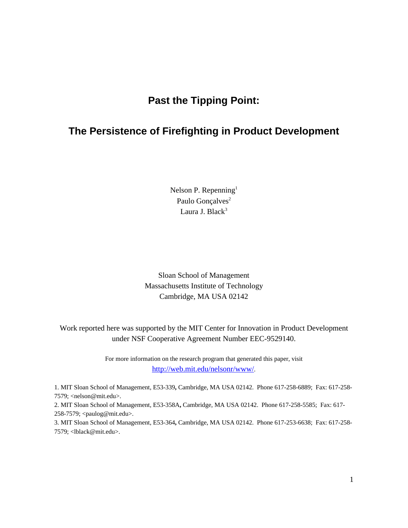# **Past the Tipping Point:**

# **The Persistence of Firefighting in Product Development**

Nelson P. Repenning<sup>1</sup> Paulo Gonçalves<sup>2</sup> Laura J. Black $3$ 

Sloan School of Management Massachusetts Institute of Technology Cambridge, MA USA 02142

Work reported here was supported by the MIT Center for Innovation in Product Development under NSF Cooperative Agreement Number EEC-9529140.

> For more information on the research program that generated this paper, visit http://web.mit.edu/nelsonr/www/.

1. MIT Sloan School of Management, E53-339**,** Cambridge, MA USA 02142. Phone 617-258-6889; Fax: 617-258- 7579; <nelson@mit.edu>.

2. MIT Sloan School of Management, E53-358A**,** Cambridge, MA USA 02142. Phone 617-258-5585; Fax: 617- 258-7579; <paulog@mit.edu>.

3. MIT Sloan School of Management, E53-364**,** Cambridge, MA USA 02142. Phone 617-253-6638; Fax: 617-258- 7579; <lblack@mit.edu>.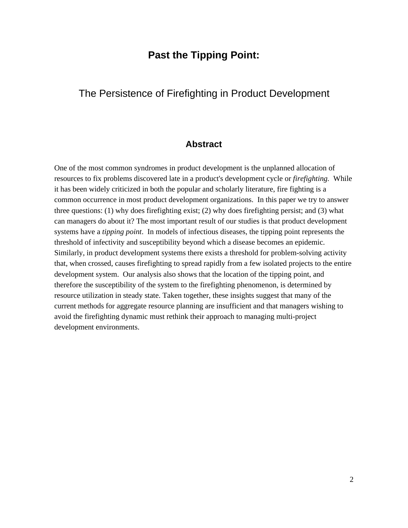## **Past the Tipping Point:**

## The Persistence of Firefighting in Product Development

### **Abstract**

One of the most common syndromes in product development is the unplanned allocation of resources to fix problems discovered late in a product's development cycle or *firefighting.* While it has been widely criticized in both the popular and scholarly literature, fire fighting is a common occurrence in most product development organizations. In this paper we try to answer three questions: (1) why does firefighting exist; (2) why does firefighting persist; and (3) what can managers do about it? The most important result of our studies is that product development systems have a *tipping point*. In models of infectious diseases, the tipping point represents the threshold of infectivity and susceptibility beyond which a disease becomes an epidemic. Similarly, in product development systems there exists a threshold for problem-solving activity that, when crossed, causes firefighting to spread rapidly from a few isolated projects to the entire development system. Our analysis also shows that the location of the tipping point, and therefore the susceptibility of the system to the firefighting phenomenon, is determined by resource utilization in steady state. Taken together, these insights suggest that many of the current methods for aggregate resource planning are insufficient and that managers wishing to avoid the firefighting dynamic must rethink their approach to managing multi-project development environments.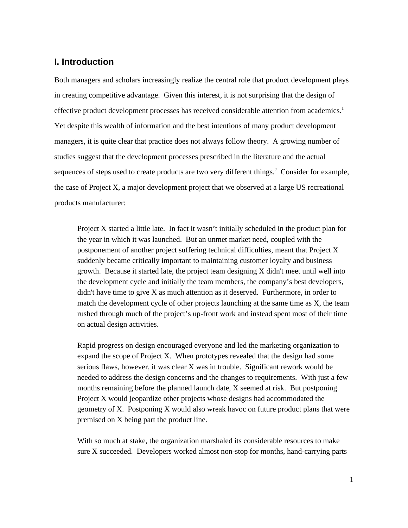#### **I. Introduction**

Both managers and scholars increasingly realize the central role that product development plays in creating competitive advantage. Given this interest, it is not surprising that the design of effective product development processes has received considerable attention from academics.<sup>1</sup> Yet despite this wealth of information and the best intentions of many product development managers, it is quite clear that practice does not always follow theory. A growing number of studies suggest that the development processes prescribed in the literature and the actual sequences of steps used to create products are two very different things.<sup>2</sup> Consider for example, the case of Project X, a major development project that we observed at a large US recreational products manufacturer:

Project X started a little late. In fact it wasn't initially scheduled in the product plan for the year in which it was launched. But an unmet market need, coupled with the postponement of another project suffering technical difficulties, meant that Project X suddenly became critically important to maintaining customer loyalty and business growth. Because it started late, the project team designing X didn't meet until well into the development cycle and initially the team members, the company's best developers, didn't have time to give X as much attention as it deserved. Furthermore, in order to match the development cycle of other projects launching at the same time as X, the team rushed through much of the project's up-front work and instead spent most of their time on actual design activities.

Rapid progress on design encouraged everyone and led the marketing organization to expand the scope of Project X. When prototypes revealed that the design had some serious flaws, however, it was clear X was in trouble. Significant rework would be needed to address the design concerns and the changes to requirements. With just a few months remaining before the planned launch date, X seemed at risk. But postponing Project X would jeopardize other projects whose designs had accommodated the geometry of X. Postponing X would also wreak havoc on future product plans that were premised on X being part the product line.

With so much at stake, the organization marshaled its considerable resources to make sure X succeeded. Developers worked almost non-stop for months, hand-carrying parts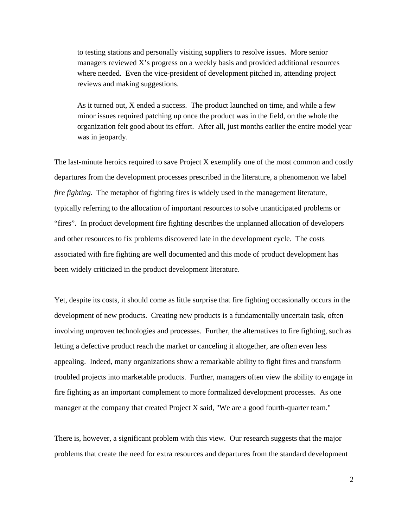to testing stations and personally visiting suppliers to resolve issues. More senior managers reviewed X's progress on a weekly basis and provided additional resources where needed. Even the vice-president of development pitched in, attending project reviews and making suggestions.

As it turned out, X ended a success. The product launched on time, and while a few minor issues required patching up once the product was in the field, on the whole the organization felt good about its effort. After all, just months earlier the entire model year was in jeopardy.

The last-minute heroics required to save Project X exemplify one of the most common and costly departures from the development processes prescribed in the literature, a phenomenon we label *fire fighting*. The metaphor of fighting fires is widely used in the management literature, typically referring to the allocation of important resources to solve unanticipated problems or "fires". In product development fire fighting describes the unplanned allocation of developers and other resources to fix problems discovered late in the development cycle. The costs associated with fire fighting are well documented and this mode of product development has been widely criticized in the product development literature.

Yet, despite its costs, it should come as little surprise that fire fighting occasionally occurs in the development of new products. Creating new products is a fundamentally uncertain task, often involving unproven technologies and processes. Further, the alternatives to fire fighting, such as letting a defective product reach the market or canceling it altogether, are often even less appealing. Indeed, many organizations show a remarkable ability to fight fires and transform troubled projects into marketable products. Further, managers often view the ability to engage in fire fighting as an important complement to more formalized development processes. As one manager at the company that created Project X said, "We are a good fourth-quarter team."

There is, however, a significant problem with this view. Our research suggests that the major problems that create the need for extra resources and departures from the standard development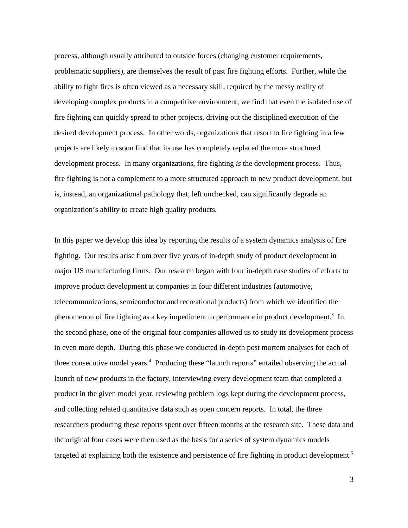process, although usually attributed to outside forces (changing customer requirements, problematic suppliers), are themselves the result of past fire fighting efforts. Further, while the ability to fight fires is often viewed as a necessary skill, required by the messy reality of developing complex products in a competitive environment, we find that even the isolated use of fire fighting can quickly spread to other projects, driving out the disciplined execution of the desired development process. In other words, organizations that resort to fire fighting in a few projects are likely to soon find that its use has completely replaced the more structured development process. In many organizations, fire fighting *is* the development process. Thus, fire fighting is not a complement to a more structured approach to new product development, but is, instead, an organizational pathology that, left unchecked, can significantly degrade an organization's ability to create high quality products.

In this paper we develop this idea by reporting the results of a system dynamics analysis of fire fighting. Our results arise from over five years of in-depth study of product development in major US manufacturing firms. Our research began with four in-depth case studies of efforts to improve product development at companies in four different industries (automotive, telecommunications, semiconductor and recreational products) from which we identified the phenomenon of fire fighting as a key impediment to performance in product development.<sup>3</sup> In the second phase, one of the original four companies allowed us to study its development process in even more depth. During this phase we conducted in-depth post mortem analyses for each of three consecutive model years.<sup>4</sup> Producing these "launch reports" entailed observing the actual launch of new products in the factory, interviewing every development team that completed a product in the given model year, reviewing problem logs kept during the development process, and collecting related quantitative data such as open concern reports. In total, the three researchers producing these reports spent over fifteen months at the research site. These data and the original four cases were then used as the basis for a series of system dynamics models targeted at explaining both the existence and persistence of fire fighting in product development.<sup>5</sup>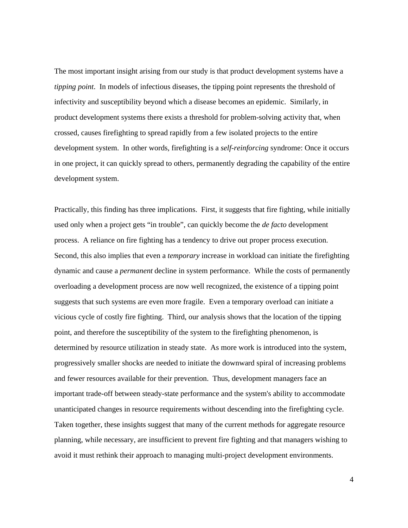The most important insight arising from our study is that product development systems have a *tipping point*. In models of infectious diseases, the tipping point represents the threshold of infectivity and susceptibility beyond which a disease becomes an epidemic. Similarly, in product development systems there exists a threshold for problem-solving activity that, when crossed, causes firefighting to spread rapidly from a few isolated projects to the entire development system. In other words, firefighting is a *self-reinforcing* syndrome: Once it occurs in one project, it can quickly spread to others, permanently degrading the capability of the entire development system.

Practically, this finding has three implications. First, it suggests that fire fighting, while initially used only when a project gets "in trouble", can quickly become the *de facto* development process. A reliance on fire fighting has a tendency to drive out proper process execution. Second, this also implies that even a *temporary* increase in workload can initiate the firefighting dynamic and cause a *permanent* decline in system performance. While the costs of permanently overloading a development process are now well recognized, the existence of a tipping point suggests that such systems are even more fragile. Even a temporary overload can initiate a vicious cycle of costly fire fighting. Third, our analysis shows that the location of the tipping point, and therefore the susceptibility of the system to the firefighting phenomenon, is determined by resource utilization in steady state. As more work is introduced into the system, progressively smaller shocks are needed to initiate the downward spiral of increasing problems and fewer resources available for their prevention. Thus, development managers face an important trade-off between steady-state performance and the system's ability to accommodate unanticipated changes in resource requirements without descending into the firefighting cycle. Taken together, these insights suggest that many of the current methods for aggregate resource planning, while necessary, are insufficient to prevent fire fighting and that managers wishing to avoid it must rethink their approach to managing multi-project development environments.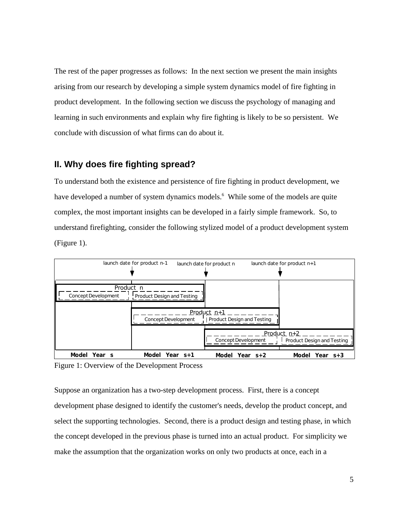The rest of the paper progresses as follows: In the next section we present the main insights arising from our research by developing a simple system dynamics model of fire fighting in product development. In the following section we discuss the psychology of managing and learning in such environments and explain why fire fighting is likely to be so persistent. We conclude with discussion of what firms can do about it.

### **II. Why does fire fighting spread?**

To understand both the existence and persistence of fire fighting in product development, we have developed a number of system dynamics models.<sup>6</sup> While some of the models are quite complex, the most important insights can be developed in a fairly simple framework. So, to understand firefighting, consider the following stylized model of a product development system (Figure 1).



Figure 1: Overview of the Development Process

Suppose an organization has a two-step development process. First, there is a concept development phase designed to identify the customer's needs, develop the product concept, and select the supporting technologies. Second, there is a product design and testing phase, in which the concept developed in the previous phase is turned into an actual product. For simplicity we make the assumption that the organization works on only two products at once, each in a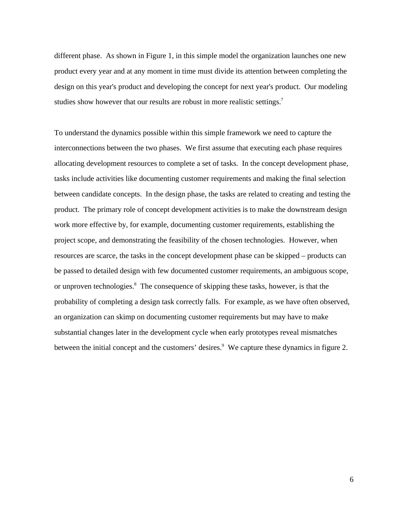different phase. As shown in Figure 1, in this simple model the organization launches one new product every year and at any moment in time must divide its attention between completing the design on this year's product and developing the concept for next year's product. Our modeling studies show however that our results are robust in more realistic settings.<sup>7</sup>

To understand the dynamics possible within this simple framework we need to capture the interconnections between the two phases. We first assume that executing each phase requires allocating development resources to complete a set of tasks. In the concept development phase, tasks include activities like documenting customer requirements and making the final selection between candidate concepts. In the design phase, the tasks are related to creating and testing the product. The primary role of concept development activities is to make the downstream design work more effective by, for example, documenting customer requirements, establishing the project scope, and demonstrating the feasibility of the chosen technologies. However, when resources are scarce, the tasks in the concept development phase can be skipped – products can be passed to detailed design with few documented customer requirements, an ambiguous scope, or unproven technologies.<sup>8</sup> The consequence of skipping these tasks, however, is that the probability of completing a design task correctly falls. For example, as we have often observed, an organization can skimp on documenting customer requirements but may have to make substantial changes later in the development cycle when early prototypes reveal mismatches between the initial concept and the customers' desires.<sup>9</sup> We capture these dynamics in figure 2.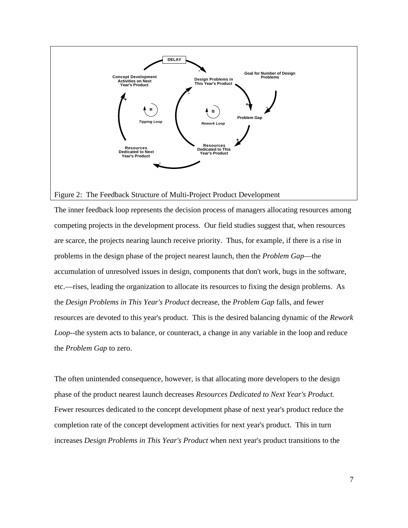

#### Figure 2: The Feedback Structure of Multi-Project Product Development

The inner feedback loop represents the decision process of managers allocating resources among competing projects in the development process. Our field studies suggest that, when resources are scarce, the projects nearing launch receive priority. Thus, for example, if there is a rise in problems in the design phase of the project nearest launch, then the *Problem Gap*—the accumulation of unresolved issues in design, components that don't work, bugs in the software, etc.—rises, leading the organization to allocate its resources to fixing the design problems. As the *Design Problems in This Year's Product* decrease, the *Problem Gap* falls, and fewer resources are devoted to this year's product. This is the desired balancing dynamic of the *Rework Loop*--the system acts to balance, or counteract, a change in any variable in the loop and reduce the *Problem Gap* to zero.

The often unintended consequence, however, is that allocating more developers to the design phase of the product nearest launch decreases *Resources Dedicated to Next Year's Product.* Fewer resources dedicated to the concept development phase of next year's product reduce the completion rate of the concept development activities for next year's product. This in turn increases *Design Problems in This Year's Product* when next year's product transitions to the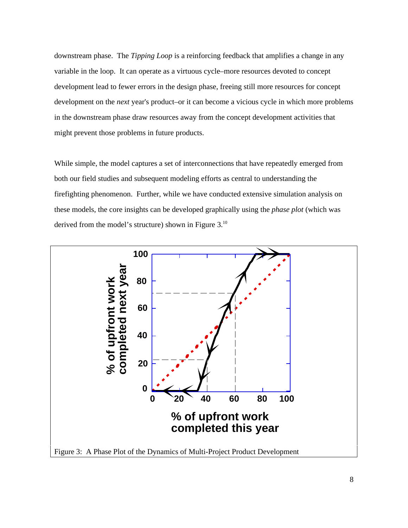downstream phase. The *Tipping Loop* is a reinforcing feedback that amplifies a change in any variable in the loop. It can operate as a virtuous cycle–more resources devoted to concept development lead to fewer errors in the design phase, freeing still more resources for concept development on the *next* year's product–or it can become a vicious cycle in which more problems in the downstream phase draw resources away from the concept development activities that might prevent those problems in future products.

While simple, the model captures a set of interconnections that have repeatedly emerged from both our field studies and subsequent modeling efforts as central to understanding the firefighting phenomenon. Further, while we have conducted extensive simulation analysis on these models, the core insights can be developed graphically using the *phase plot* (which was derived from the model's structure) shown in Figure 3.<sup>10</sup>

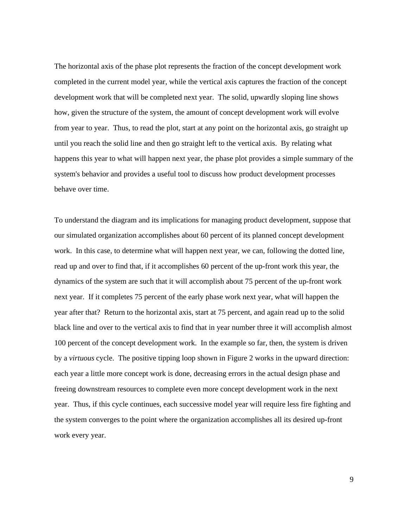The horizontal axis of the phase plot represents the fraction of the concept development work completed in the current model year, while the vertical axis captures the fraction of the concept development work that will be completed next year. The solid, upwardly sloping line shows how, given the structure of the system, the amount of concept development work will evolve from year to year. Thus, to read the plot, start at any point on the horizontal axis, go straight up until you reach the solid line and then go straight left to the vertical axis. By relating what happens this year to what will happen next year, the phase plot provides a simple summary of the system's behavior and provides a useful tool to discuss how product development processes behave over time.

To understand the diagram and its implications for managing product development, suppose that our simulated organization accomplishes about 60 percent of its planned concept development work. In this case, to determine what will happen next year, we can, following the dotted line, read up and over to find that, if it accomplishes 60 percent of the up-front work this year, the dynamics of the system are such that it will accomplish about 75 percent of the up-front work next year. If it completes 75 percent of the early phase work next year, what will happen the year after that? Return to the horizontal axis, start at 75 percent, and again read up to the solid black line and over to the vertical axis to find that in year number three it will accomplish almost 100 percent of the concept development work. In the example so far, then, the system is driven by a *virtuous* cycle. The positive tipping loop shown in Figure 2 works in the upward direction: each year a little more concept work is done, decreasing errors in the actual design phase and freeing downstream resources to complete even more concept development work in the next year. Thus, if this cycle continues, each successive model year will require less fire fighting and the system converges to the point where the organization accomplishes all its desired up-front work every year.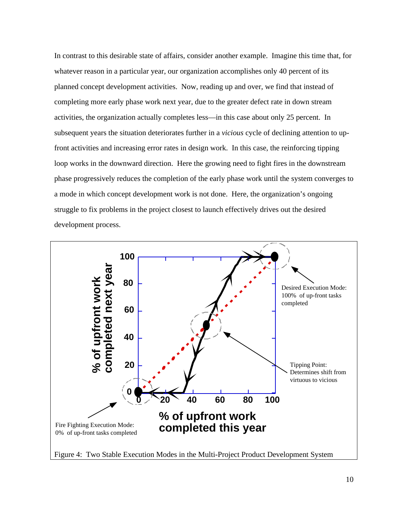In contrast to this desirable state of affairs, consider another example. Imagine this time that, for whatever reason in a particular year, our organization accomplishes only 40 percent of its planned concept development activities. Now, reading up and over, we find that instead of completing more early phase work next year, due to the greater defect rate in down stream activities, the organization actually completes less—in this case about only 25 percent. In subsequent years the situation deteriorates further in a *vicious* cycle of declining attention to upfront activities and increasing error rates in design work. In this case, the reinforcing tipping loop works in the downward direction. Here the growing need to fight fires in the downstream phase progressively reduces the completion of the early phase work until the system converges to a mode in which concept development work is not done. Here, the organization's ongoing struggle to fix problems in the project closest to launch effectively drives out the desired development process.



Figure 4: Two Stable Execution Modes in the Multi-Project Product Development System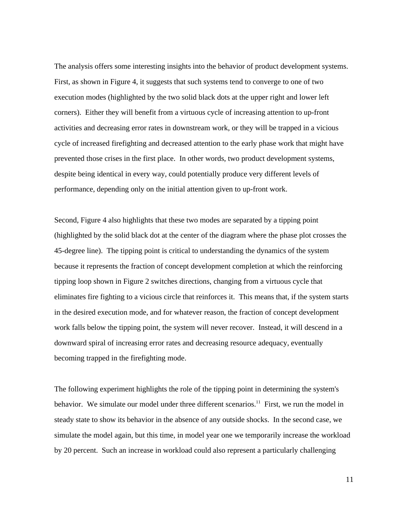The analysis offers some interesting insights into the behavior of product development systems. First, as shown in Figure 4, it suggests that such systems tend to converge to one of two execution modes (highlighted by the two solid black dots at the upper right and lower left corners). Either they will benefit from a virtuous cycle of increasing attention to up-front activities and decreasing error rates in downstream work, or they will be trapped in a vicious cycle of increased firefighting and decreased attention to the early phase work that might have prevented those crises in the first place. In other words, two product development systems, despite being identical in every way, could potentially produce very different levels of performance, depending only on the initial attention given to up-front work.

Second, Figure 4 also highlights that these two modes are separated by a tipping point (highlighted by the solid black dot at the center of the diagram where the phase plot crosses the 45-degree line). The tipping point is critical to understanding the dynamics of the system because it represents the fraction of concept development completion at which the reinforcing tipping loop shown in Figure 2 switches directions, changing from a virtuous cycle that eliminates fire fighting to a vicious circle that reinforces it. This means that, if the system starts in the desired execution mode, and for whatever reason, the fraction of concept development work falls below the tipping point, the system will never recover. Instead, it will descend in a downward spiral of increasing error rates and decreasing resource adequacy, eventually becoming trapped in the firefighting mode.

The following experiment highlights the role of the tipping point in determining the system's behavior. We simulate our model under three different scenarios.<sup>11</sup> First, we run the model in steady state to show its behavior in the absence of any outside shocks. In the second case, we simulate the model again, but this time, in model year one we temporarily increase the workload by 20 percent. Such an increase in workload could also represent a particularly challenging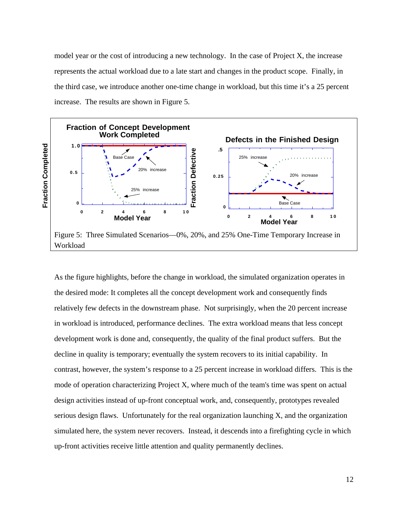model year or the cost of introducing a new technology. In the case of Project X, the increase represents the actual workload due to a late start and changes in the product scope. Finally, in the third case, we introduce another one-time change in workload, but this time it's a 25 percent increase. The results are shown in Figure 5.



As the figure highlights, before the change in workload, the simulated organization operates in the desired mode: It completes all the concept development work and consequently finds relatively few defects in the downstream phase. Not surprisingly, when the 20 percent increase in workload is introduced, performance declines. The extra workload means that less concept development work is done and, consequently, the quality of the final product suffers. But the decline in quality is temporary; eventually the system recovers to its initial capability. In contrast, however, the system's response to a 25 percent increase in workload differs. This is the mode of operation characterizing Project X, where much of the team's time was spent on actual design activities instead of up-front conceptual work, and, consequently, prototypes revealed serious design flaws. Unfortunately for the real organization launching X, and the organization simulated here, the system never recovers. Instead, it descends into a firefighting cycle in which up-front activities receive little attention and quality permanently declines.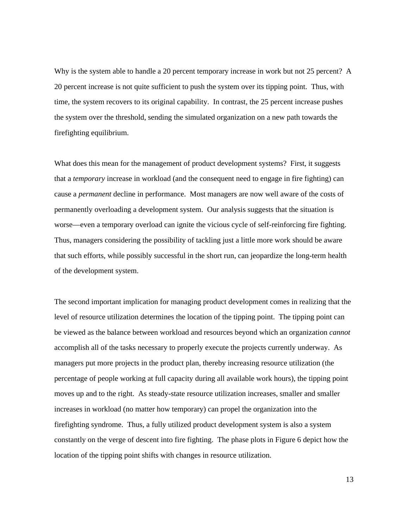Why is the system able to handle a 20 percent temporary increase in work but not 25 percent? A 20 percent increase is not quite sufficient to push the system over its tipping point. Thus, with time, the system recovers to its original capability. In contrast, the 25 percent increase pushes the system over the threshold, sending the simulated organization on a new path towards the firefighting equilibrium.

What does this mean for the management of product development systems? First, it suggests that a *temporary* increase in workload (and the consequent need to engage in fire fighting) can cause a *permanent* decline in performance. Most managers are now well aware of the costs of permanently overloading a development system. Our analysis suggests that the situation is worse—even a temporary overload can ignite the vicious cycle of self-reinforcing fire fighting. Thus, managers considering the possibility of tackling just a little more work should be aware that such efforts, while possibly successful in the short run, can jeopardize the long-term health of the development system.

The second important implication for managing product development comes in realizing that the level of resource utilization determines the location of the tipping point. The tipping point can be viewed as the balance between workload and resources beyond which an organization *cannot* accomplish all of the tasks necessary to properly execute the projects currently underway. As managers put more projects in the product plan, thereby increasing resource utilization (the percentage of people working at full capacity during all available work hours), the tipping point moves up and to the right. As steady-state resource utilization increases, smaller and smaller increases in workload (no matter how temporary) can propel the organization into the firefighting syndrome. Thus, a fully utilized product development system is also a system constantly on the verge of descent into fire fighting. The phase plots in Figure 6 depict how the location of the tipping point shifts with changes in resource utilization.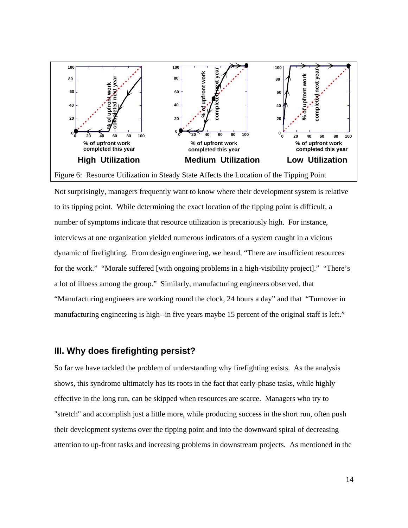

Not surprisingly, managers frequently want to know where their development system is relative to its tipping point. While determining the exact location of the tipping point is difficult, a number of symptoms indicate that resource utilization is precariously high. For instance, interviews at one organization yielded numerous indicators of a system caught in a vicious dynamic of firefighting. From design engineering, we heard, "There are insufficient resources for the work." "Morale suffered [with ongoing problems in a high-visibility project]." "There's a lot of illness among the group." Similarly, manufacturing engineers observed, that "Manufacturing engineers are working round the clock, 24 hours a day" and that "Turnover in manufacturing engineering is high--in five years maybe 15 percent of the original staff is left."

#### **III. Why does firefighting persist?**

So far we have tackled the problem of understanding why firefighting exists. As the analysis shows, this syndrome ultimately has its roots in the fact that early-phase tasks, while highly effective in the long run, can be skipped when resources are scarce. Managers who try to "stretch" and accomplish just a little more, while producing success in the short run, often push their development systems over the tipping point and into the downward spiral of decreasing attention to up-front tasks and increasing problems in downstream projects. As mentioned in the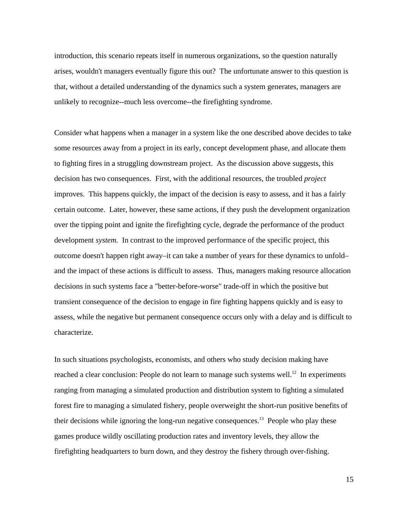introduction, this scenario repeats itself in numerous organizations, so the question naturally arises, wouldn't managers eventually figure this out? The unfortunate answer to this question is that, without a detailed understanding of the dynamics such a system generates, managers are unlikely to recognize--much less overcome--the firefighting syndrome.

Consider what happens when a manager in a system like the one described above decides to take some resources away from a project in its early, concept development phase, and allocate them to fighting fires in a struggling downstream project. As the discussion above suggests, this decision has two consequences. First, with the additional resources, the troubled *project* improves. This happens quickly, the impact of the decision is easy to assess, and it has a fairly certain outcome. Later, however, these same actions, if they push the development organization over the tipping point and ignite the firefighting cycle, degrade the performance of the product development *system.* In contrast to the improved performance of the specific project, this outcome doesn't happen right away–it can take a number of years for these dynamics to unfold– and the impact of these actions is difficult to assess. Thus, managers making resource allocation decisions in such systems face a "better-before-worse" trade-off in which the positive but transient consequence of the decision to engage in fire fighting happens quickly and is easy to assess, while the negative but permanent consequence occurs only with a delay and is difficult to characterize.

In such situations psychologists, economists, and others who study decision making have reached a clear conclusion: People do not learn to manage such systems well.<sup>12</sup> In experiments ranging from managing a simulated production and distribution system to fighting a simulated forest fire to managing a simulated fishery, people overweight the short-run positive benefits of their decisions while ignoring the long-run negative consequences.<sup>13</sup> People who play these games produce wildly oscillating production rates and inventory levels, they allow the firefighting headquarters to burn down, and they destroy the fishery through over-fishing.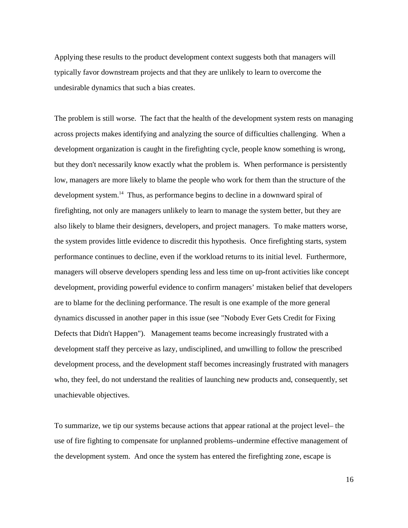Applying these results to the product development context suggests both that managers will typically favor downstream projects and that they are unlikely to learn to overcome the undesirable dynamics that such a bias creates.

The problem is still worse. The fact that the health of the development system rests on managing across projects makes identifying and analyzing the source of difficulties challenging. When a development organization is caught in the firefighting cycle, people know something is wrong, but they don't necessarily know exactly what the problem is. When performance is persistently low, managers are more likely to blame the people who work for them than the structure of the development system.<sup>14</sup> Thus, as performance begins to decline in a downward spiral of firefighting, not only are managers unlikely to learn to manage the system better, but they are also likely to blame their designers, developers, and project managers. To make matters worse, the system provides little evidence to discredit this hypothesis. Once firefighting starts, system performance continues to decline, even if the workload returns to its initial level. Furthermore, managers will observe developers spending less and less time on up-front activities like concept development, providing powerful evidence to confirm managers' mistaken belief that developers are to blame for the declining performance. The result is one example of the more general dynamics discussed in another paper in this issue (see "Nobody Ever Gets Credit for Fixing Defects that Didn't Happen"). Management teams become increasingly frustrated with a development staff they perceive as lazy, undisciplined, and unwilling to follow the prescribed development process, and the development staff becomes increasingly frustrated with managers who, they feel, do not understand the realities of launching new products and, consequently, set unachievable objectives.

To summarize, we tip our systems because actions that appear rational at the project level– the use of fire fighting to compensate for unplanned problems–undermine effective management of the development system. And once the system has entered the firefighting zone, escape is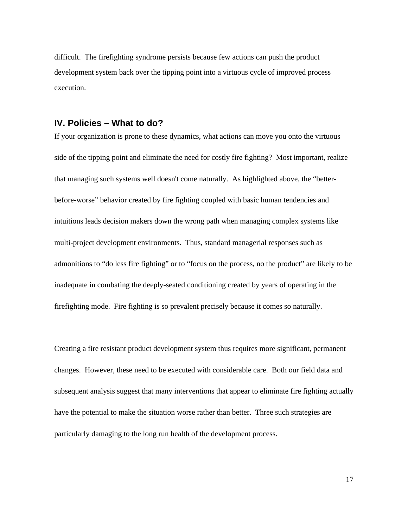difficult. The firefighting syndrome persists because few actions can push the product development system back over the tipping point into a virtuous cycle of improved process execution.

#### **IV. Policies – What to do?**

If your organization is prone to these dynamics, what actions can move you onto the virtuous side of the tipping point and eliminate the need for costly fire fighting? Most important, realize that managing such systems well doesn't come naturally. As highlighted above, the "betterbefore-worse" behavior created by fire fighting coupled with basic human tendencies and intuitions leads decision makers down the wrong path when managing complex systems like multi-project development environments. Thus, standard managerial responses such as admonitions to "do less fire fighting" or to "focus on the process, no the product" are likely to be inadequate in combating the deeply-seated conditioning created by years of operating in the firefighting mode. Fire fighting is so prevalent precisely because it comes so naturally.

Creating a fire resistant product development system thus requires more significant, permanent changes. However, these need to be executed with considerable care. Both our field data and subsequent analysis suggest that many interventions that appear to eliminate fire fighting actually have the potential to make the situation worse rather than better. Three such strategies are particularly damaging to the long run health of the development process.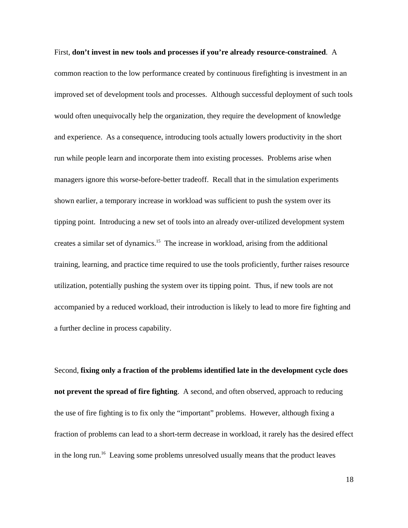First, **don't invest in new tools and processes if you're already resource-constrained**. A common reaction to the low performance created by continuous firefighting is investment in an improved set of development tools and processes. Although successful deployment of such tools would often unequivocally help the organization, they require the development of knowledge and experience. As a consequence, introducing tools actually lowers productivity in the short run while people learn and incorporate them into existing processes. Problems arise when managers ignore this worse-before-better tradeoff. Recall that in the simulation experiments shown earlier, a temporary increase in workload was sufficient to push the system over its tipping point. Introducing a new set of tools into an already over-utilized development system creates a similar set of dynamics.<sup>15</sup> The increase in workload, arising from the additional training, learning, and practice time required to use the tools proficiently, further raises resource utilization, potentially pushing the system over its tipping point. Thus, if new tools are not accompanied by a reduced workload, their introduction is likely to lead to more fire fighting and a further decline in process capability.

Second, **fixing only a fraction of the problems identified late in the development cycle does not prevent the spread of fire fighting**. A second, and often observed, approach to reducing the use of fire fighting is to fix only the "important" problems. However, although fixing a fraction of problems can lead to a short-term decrease in workload, it rarely has the desired effect in the long run.<sup>16</sup> Leaving some problems unresolved usually means that the product leaves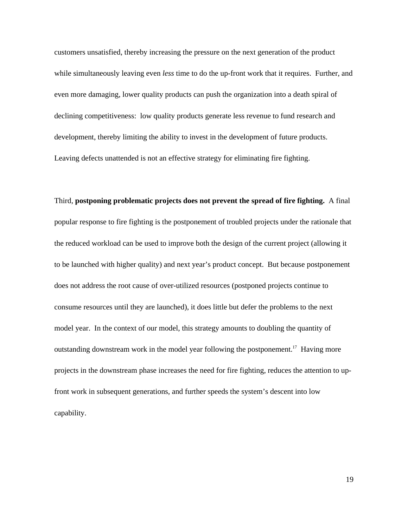customers unsatisfied, thereby increasing the pressure on the next generation of the product while simultaneously leaving even *less* time to do the up-front work that it requires. Further, and even more damaging, lower quality products can push the organization into a death spiral of declining competitiveness: low quality products generate less revenue to fund research and development, thereby limiting the ability to invest in the development of future products. Leaving defects unattended is not an effective strategy for eliminating fire fighting.

Third, **postponing problematic projects does not prevent the spread of fire fighting.** A final popular response to fire fighting is the postponement of troubled projects under the rationale that the reduced workload can be used to improve both the design of the current project (allowing it to be launched with higher quality) and next year's product concept. But because postponement does not address the root cause of over-utilized resources (postponed projects continue to consume resources until they are launched), it does little but defer the problems to the next model year. In the context of our model, this strategy amounts to doubling the quantity of outstanding downstream work in the model year following the postponement.<sup>17</sup> Having more projects in the downstream phase increases the need for fire fighting, reduces the attention to upfront work in subsequent generations, and further speeds the system's descent into low capability.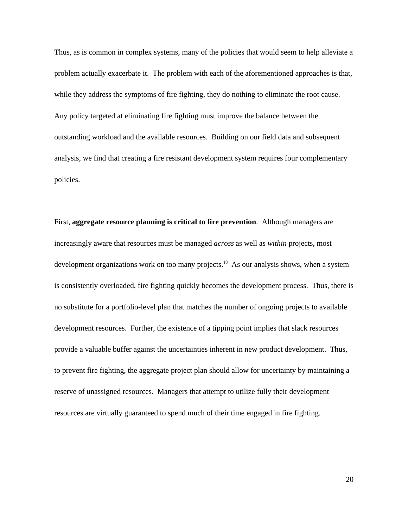Thus, as is common in complex systems, many of the policies that would seem to help alleviate a problem actually exacerbate it. The problem with each of the aforementioned approaches is that, while they address the symptoms of fire fighting, they do nothing to eliminate the root cause. Any policy targeted at eliminating fire fighting must improve the balance between the outstanding workload and the available resources. Building on our field data and subsequent analysis, we find that creating a fire resistant development system requires four complementary policies.

First, **aggregate resource planning is critical to fire prevention**. Although managers are increasingly aware that resources must be managed *across* as well as *within* projects, most development organizations work on too many projects.<sup>18</sup> As our analysis shows, when a system is consistently overloaded, fire fighting quickly becomes the development process. Thus, there is no substitute for a portfolio-level plan that matches the number of ongoing projects to available development resources. Further, the existence of a tipping point implies that slack resources provide a valuable buffer against the uncertainties inherent in new product development. Thus, to prevent fire fighting, the aggregate project plan should allow for uncertainty by maintaining a reserve of unassigned resources. Managers that attempt to utilize fully their development resources are virtually guaranteed to spend much of their time engaged in fire fighting.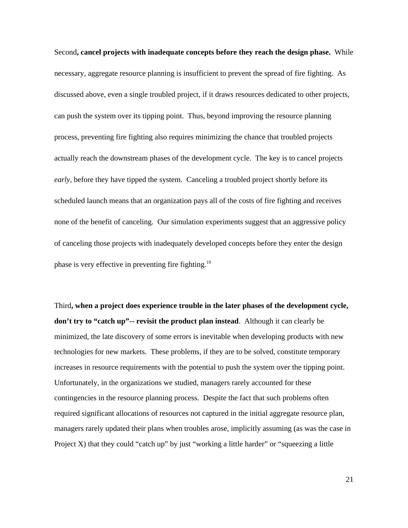Second**, cancel projects with inadequate concepts before they reach the design phase.** While necessary, aggregate resource planning is insufficient to prevent the spread of fire fighting. As discussed above, even a single troubled project, if it draws resources dedicated to other projects, can push the system over its tipping point. Thus, beyond improving the resource planning process, preventing fire fighting also requires minimizing the chance that troubled projects actually reach the downstream phases of the development cycle. The key is to cancel projects *early,* before they have tipped the system. Canceling a troubled project shortly before its scheduled launch means that an organization pays all of the costs of fire fighting and receives none of the benefit of canceling. Our simulation experiments suggest that an aggressive policy of canceling those projects with inadequately developed concepts before they enter the design phase is very effective in preventing fire fighting.<sup>19</sup>

Third**, when a project does experience trouble in the later phases of the development cycle, don't try to "catch up"-- revisit the product plan instead**. Although it can clearly be minimized, the late discovery of some errors is inevitable when developing products with new technologies for new markets. These problems, if they are to be solved, constitute temporary increases in resource requirements with the potential to push the system over the tipping point. Unfortunately, in the organizations we studied, managers rarely accounted for these contingencies in the resource planning process. Despite the fact that such problems often required significant allocations of resources not captured in the initial aggregate resource plan, managers rarely updated their plans when troubles arose, implicitly assuming (as was the case in Project X) that they could "catch up" by just "working a little harder" or "squeezing a little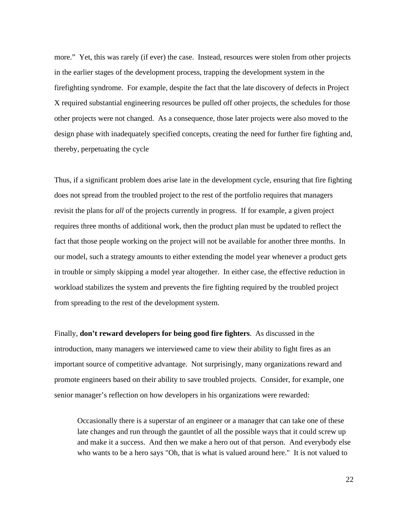more." Yet, this was rarely (if ever) the case. Instead, resources were stolen from other projects in the earlier stages of the development process, trapping the development system in the firefighting syndrome. For example, despite the fact that the late discovery of defects in Project X required substantial engineering resources be pulled off other projects, the schedules for those other projects were not changed. As a consequence, those later projects were also moved to the design phase with inadequately specified concepts, creating the need for further fire fighting and, thereby, perpetuating the cycle

Thus, if a significant problem does arise late in the development cycle, ensuring that fire fighting does not spread from the troubled project to the rest of the portfolio requires that managers revisit the plans for *all* of the projects currently in progress. If for example, a given project requires three months of additional work, then the product plan must be updated to reflect the fact that those people working on the project will not be available for another three months. In our model, such a strategy amounts to either extending the model year whenever a product gets in trouble or simply skipping a model year altogether. In either case, the effective reduction in workload stabilizes the system and prevents the fire fighting required by the troubled project from spreading to the rest of the development system.

Finally, **don't reward developers for being good fire fighters**. As discussed in the introduction, many managers we interviewed came to view their ability to fight fires as an important source of competitive advantage. Not surprisingly, many organizations reward and promote engineers based on their ability to save troubled projects. Consider, for example, one senior manager's reflection on how developers in his organizations were rewarded:

Occasionally there is a superstar of an engineer or a manager that can take one of these late changes and run through the gauntlet of all the possible ways that it could screw up and make it a success. And then we make a hero out of that person. And everybody else who wants to be a hero says "Oh, that is what is valued around here." It is not valued to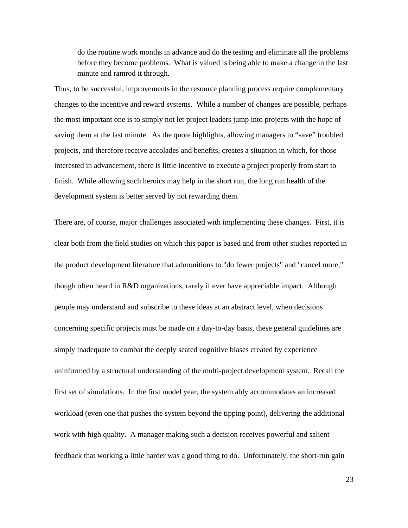do the routine work months in advance and do the testing and eliminate all the problems before they become problems. What is valued is being able to make a change in the last minute and ramrod it through.

Thus, to be successful, improvements in the resource planning process require complementary changes to the incentive and reward systems. While a number of changes are possible, perhaps the most important one is to simply not let project leaders jump into projects with the hope of saving them at the last minute. As the quote highlights, allowing managers to "save" troubled projects, and therefore receive accolades and benefits, creates a situation in which, for those interested in advancement, there is little incentive to execute a project properly from start to finish. While allowing such heroics may help in the short run, the long run health of the development system is better served by not rewarding them.

There are, of course, major challenges associated with implementing these changes. First, it is clear both from the field studies on which this paper is based and from other studies reported in the product development literature that admonitions to "do fewer projects" and "cancel more," though often heard in R&D organizations, rarely if ever have appreciable impact. Although people may understand and subscribe to these ideas at an abstract level, when decisions concerning specific projects must be made on a day-to-day basis, these general guidelines are simply inadequate to combat the deeply seated cognitive biases created by experience uninformed by a structural understanding of the multi-project development system. Recall the first set of simulations. In the first model year, the system ably accommodates an increased workload (even one that pushes the system beyond the tipping point), delivering the additional work with high quality. A manager making such a decision receives powerful and salient feedback that working a little harder was a good thing to do. Unfortunately, the short-run gain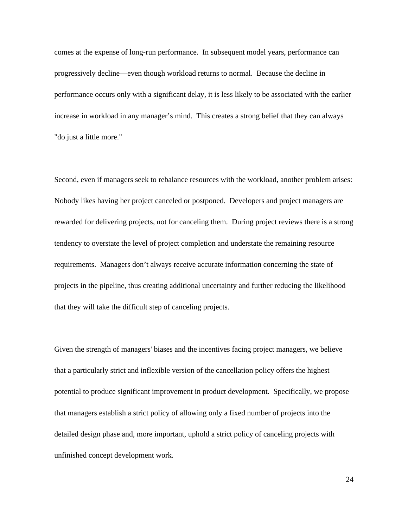comes at the expense of long-run performance. In subsequent model years, performance can progressively decline—even though workload returns to normal. Because the decline in performance occurs only with a significant delay, it is less likely to be associated with the earlier increase in workload in any manager's mind. This creates a strong belief that they can always "do just a little more."

Second, even if managers seek to rebalance resources with the workload, another problem arises: Nobody likes having her project canceled or postponed. Developers and project managers are rewarded for delivering projects, not for canceling them. During project reviews there is a strong tendency to overstate the level of project completion and understate the remaining resource requirements. Managers don't always receive accurate information concerning the state of projects in the pipeline, thus creating additional uncertainty and further reducing the likelihood that they will take the difficult step of canceling projects.

Given the strength of managers' biases and the incentives facing project managers, we believe that a particularly strict and inflexible version of the cancellation policy offers the highest potential to produce significant improvement in product development. Specifically, we propose that managers establish a strict policy of allowing only a fixed number of projects into the detailed design phase and, more important, uphold a strict policy of canceling projects with unfinished concept development work.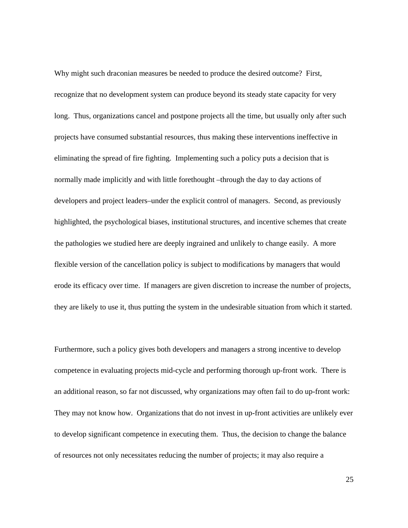Why might such draconian measures be needed to produce the desired outcome? First, recognize that no development system can produce beyond its steady state capacity for very long. Thus, organizations cancel and postpone projects all the time, but usually only after such projects have consumed substantial resources, thus making these interventions ineffective in eliminating the spread of fire fighting. Implementing such a policy puts a decision that is normally made implicitly and with little forethought –through the day to day actions of developers and project leaders–under the explicit control of managers. Second, as previously highlighted, the psychological biases, institutional structures, and incentive schemes that create the pathologies we studied here are deeply ingrained and unlikely to change easily. A more flexible version of the cancellation policy is subject to modifications by managers that would erode its efficacy over time. If managers are given discretion to increase the number of projects, they are likely to use it, thus putting the system in the undesirable situation from which it started.

Furthermore, such a policy gives both developers and managers a strong incentive to develop competence in evaluating projects mid-cycle and performing thorough up-front work. There is an additional reason, so far not discussed, why organizations may often fail to do up-front work: They may not know how. Organizations that do not invest in up-front activities are unlikely ever to develop significant competence in executing them. Thus, the decision to change the balance of resources not only necessitates reducing the number of projects; it may also require a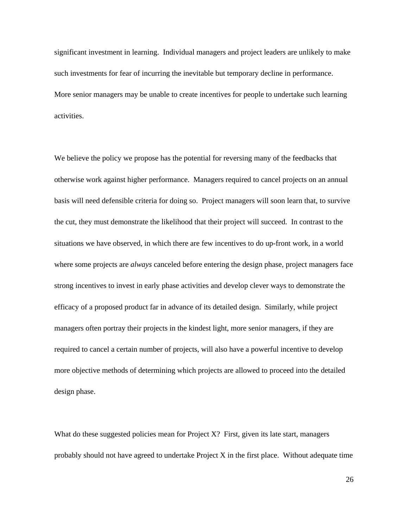significant investment in learning. Individual managers and project leaders are unlikely to make such investments for fear of incurring the inevitable but temporary decline in performance. More senior managers may be unable to create incentives for people to undertake such learning activities.

We believe the policy we propose has the potential for reversing many of the feedbacks that otherwise work against higher performance. Managers required to cancel projects on an annual basis will need defensible criteria for doing so. Project managers will soon learn that, to survive the cut, they must demonstrate the likelihood that their project will succeed. In contrast to the situations we have observed, in which there are few incentives to do up-front work, in a world where some projects are *always* canceled before entering the design phase, project managers face strong incentives to invest in early phase activities and develop clever ways to demonstrate the efficacy of a proposed product far in advance of its detailed design. Similarly, while project managers often portray their projects in the kindest light, more senior managers, if they are required to cancel a certain number of projects, will also have a powerful incentive to develop more objective methods of determining which projects are allowed to proceed into the detailed design phase.

What do these suggested policies mean for Project  $X$ ? First, given its late start, managers probably should not have agreed to undertake Project  $X$  in the first place. Without adequate time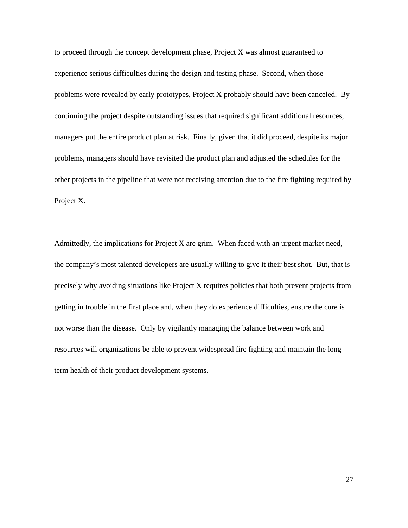to proceed through the concept development phase, Project X was almost guaranteed to experience serious difficulties during the design and testing phase. Second, when those problems were revealed by early prototypes, Project X probably should have been canceled. By continuing the project despite outstanding issues that required significant additional resources, managers put the entire product plan at risk. Finally, given that it did proceed, despite its major problems, managers should have revisited the product plan and adjusted the schedules for the other projects in the pipeline that were not receiving attention due to the fire fighting required by Project X.

Admittedly, the implications for Project X are grim. When faced with an urgent market need, the company's most talented developers are usually willing to give it their best shot. But, that is precisely why avoiding situations like Project X requires policies that both prevent projects from getting in trouble in the first place and, when they do experience difficulties, ensure the cure is not worse than the disease. Only by vigilantly managing the balance between work and resources will organizations be able to prevent widespread fire fighting and maintain the longterm health of their product development systems.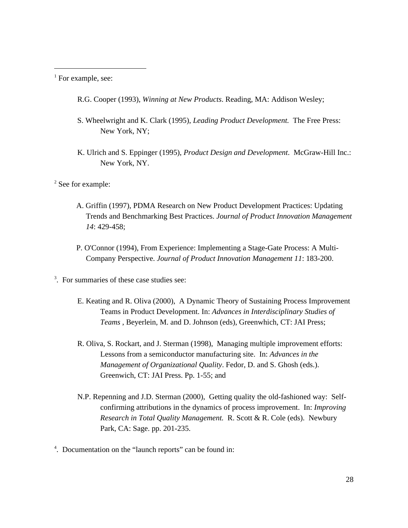<sup>1</sup> For example, see:

 $\overline{a}$ 

R.G. Cooper (1993), *Winning at New Products*. Reading, MA: Addison Wesley;

- S. Wheelwright and K. Clark (1995), *Leading Product Development.* The Free Press: New York, NY;
- K. Ulrich and S. Eppinger (1995), *Product Design and Development*. McGraw-Hill Inc.: New York, NY.

<sup>2</sup> See for example:

- A. Griffin (1997), PDMA Research on New Product Development Practices: Updating Trends and Benchmarking Best Practices. *Journal of Product Innovation Management 14*: 429-458;
- P. O'Connor (1994), From Experience: Implementing a Stage-Gate Process: A Multi-Company Perspective. *Journal of Product Innovation Management 11*: 183-200.
- <sup>3</sup>. For summaries of these case studies see:
	- E. Keating and R. Oliva (2000), A Dynamic Theory of Sustaining Process Improvement Teams in Product Development. In: *Advances in Interdisciplinary Studies of Teams* , Beyerlein, M. and D. Johnson (eds), Greenwhich, CT: JAI Press;
	- R. Oliva, S. Rockart, and J. Sterman (1998), Managing multiple improvement efforts: Lessons from a semiconductor manufacturing site. In: *Advances in the Management of Organizational Quality*. Fedor, D. and S. Ghosh (eds.). Greenwich, CT: JAI Press. Pp. 1-55; and
	- N.P. Repenning and J.D. Sterman (2000), Getting quality the old-fashioned way: Selfconfirming attributions in the dynamics of process improvement. In: *Improving Research in Total Quality Management.* R. Scott & R. Cole (eds). Newbury Park, CA: Sage. pp. 201-235.
- 4 . Documentation on the "launch reports" can be found in: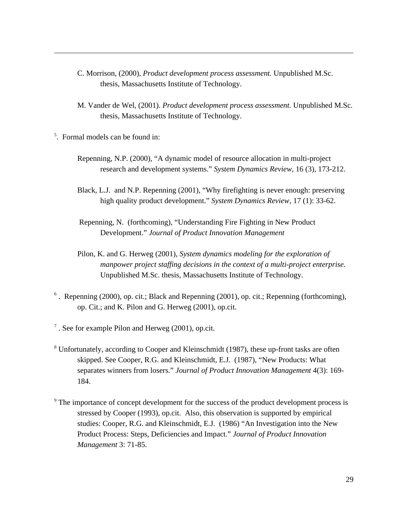- C. Morrison, (2000), *Product development process assessment.* Unpublished M.Sc. thesis, Massachusetts Institute of Technology.
- M. Vander de Wel, (2001). *Product development process assessment.* Unpublished M.Sc. thesis, Massachusetts Institute of Technology.
- 5 . Formal models can be found in:

- Repenning, N.P. (2000), "A dynamic model of resource allocation in multi-project research and development systems." *System Dynamics Review*, 16 (3), 173-212.
- Black, L.J. and N.P. Repenning (2001), "Why firefighting is never enough: preserving high quality product development." *System Dynamics Review*, 17 (1): 33-62.
- Repenning, N. (forthcoming), "Understanding Fire Fighting in New Product Development." *Journal of Product Innovation Management*
- Pilon, K. and G. Herweg (2001), *System dynamics modeling for the exploration of manpower project staffing decisions in the context of a multi-project enterprise.* Unpublished M.Sc. thesis, Massachusetts Institute of Technology.
- <sup>6</sup>. Repenning (2000), op. cit.; Black and Repenning (2001), op. cit.; Repenning (forthcoming), op. Cit.; and K. Pilon and G. Herweg (2001), op.cit.
- $7$ . See for example Pilon and Herweg (2001), op.cit.
- <sup>8</sup> Unfortunately, according to Cooper and Kleinschmidt (1987), these up-front tasks are often skipped. See Cooper, R.G. and Kleinschmidt, E.J. (1987), "New Products: What separates winners from losers." *Journal of Product Innovation Management* 4(3): 169- 184.
- <sup>9</sup> The importance of concept development for the success of the product development process is stressed by Cooper (1993), op.cit. Also, this observation is supported by empirical studies: Cooper, R.G. and Kleinschmidt, E.J. (1986) "An Investigation into the New Product Process: Steps, Deficiencies and Impact." *Journal of Product Innovation Management* 3: 71-85.